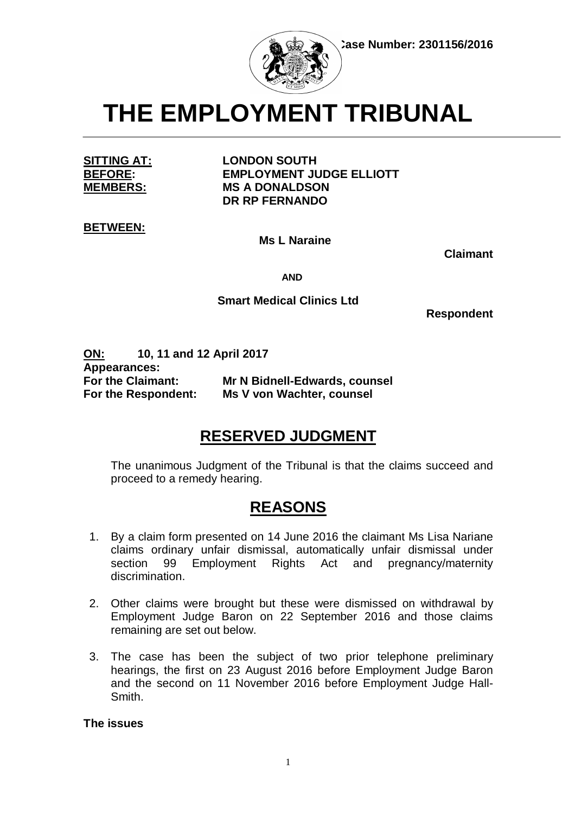

**THE EMPLOYMENT TRIBUNAL**

**SITTING AT: LONDON SOUTH BEFORE: EMPLOYMENT JUDGE ELLIOTT MEMBERS: MS A DONALDSON DR RP FERNANDO**

**BETWEEN:**

**Ms L Naraine**

 **Claimant**

 **AND**

## **Smart Medical Clinics Ltd**

 **Respondent**

**ON: 10, 11 and 12 April 2017 Appearances: For the Claimant: Mr N Bidnell-Edwards, counsel For the Respondent: Ms V von Wachter, counsel**

# **RESERVED JUDGMENT**

The unanimous Judgment of the Tribunal is that the claims succeed and proceed to a remedy hearing.

## **REASONS**

- 1. By a claim form presented on 14 June 2016 the claimant Ms Lisa Nariane claims ordinary unfair dismissal, automatically unfair dismissal under section 99 Employment Rights Act and pregnancy/maternity discrimination.
- 2. Other claims were brought but these were dismissed on withdrawal by Employment Judge Baron on 22 September 2016 and those claims remaining are set out below.
- 3. The case has been the subject of two prior telephone preliminary hearings, the first on 23 August 2016 before Employment Judge Baron and the second on 11 November 2016 before Employment Judge Hall-Smith.

**The issues**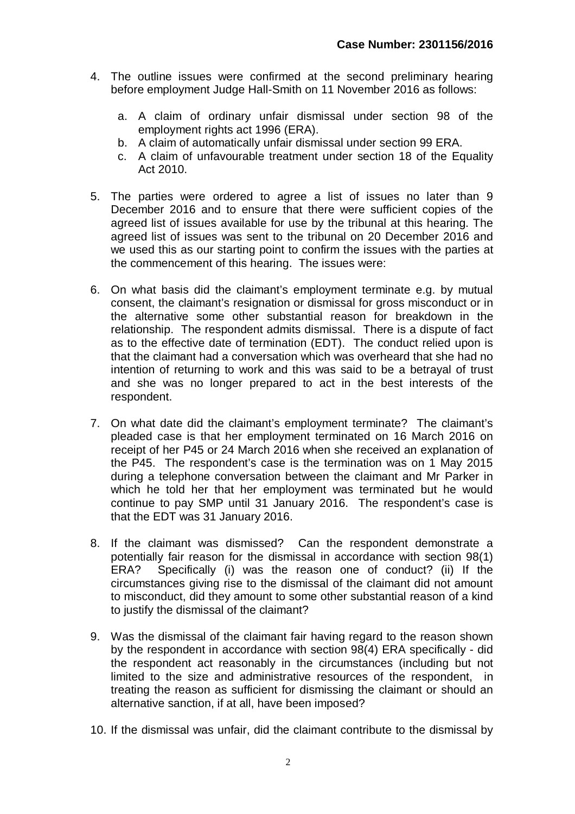- 4. The outline issues were confirmed at the second preliminary hearing before employment Judge Hall-Smith on 11 November 2016 as follows:
	- a. A claim of ordinary unfair dismissal under section 98 of the employment rights act 1996 (ERA).
	- b. A claim of automatically unfair dismissal under section 99 ERA.
	- c. A claim of unfavourable treatment under section 18 of the Equality Act 2010.
- 5. The parties were ordered to agree a list of issues no later than 9 December 2016 and to ensure that there were sufficient copies of the agreed list of issues available for use by the tribunal at this hearing. The agreed list of issues was sent to the tribunal on 20 December 2016 and we used this as our starting point to confirm the issues with the parties at the commencement of this hearing. The issues were:
- 6. On what basis did the claimant's employment terminate e.g. by mutual consent, the claimant's resignation or dismissal for gross misconduct or in the alternative some other substantial reason for breakdown in the relationship. The respondent admits dismissal. There is a dispute of fact as to the effective date of termination (EDT). The conduct relied upon is that the claimant had a conversation which was overheard that she had no intention of returning to work and this was said to be a betrayal of trust and she was no longer prepared to act in the best interests of the respondent.
- 7. On what date did the claimant's employment terminate? The claimant's pleaded case is that her employment terminated on 16 March 2016 on receipt of her P45 or 24 March 2016 when she received an explanation of the P45. The respondent's case is the termination was on 1 May 2015 during a telephone conversation between the claimant and Mr Parker in which he told her that her employment was terminated but he would continue to pay SMP until 31 January 2016. The respondent's case is that the EDT was 31 January 2016.
- 8. If the claimant was dismissed? Can the respondent demonstrate a potentially fair reason for the dismissal in accordance with section 98(1) ERA? Specifically (i) was the reason one of conduct? (ii) If the circumstances giving rise to the dismissal of the claimant did not amount to misconduct, did they amount to some other substantial reason of a kind to justify the dismissal of the claimant?
- 9. Was the dismissal of the claimant fair having regard to the reason shown by the respondent in accordance with section 98(4) ERA specifically - did the respondent act reasonably in the circumstances (including but not limited to the size and administrative resources of the respondent, in treating the reason as sufficient for dismissing the claimant or should an alternative sanction, if at all, have been imposed?
- 10. If the dismissal was unfair, did the claimant contribute to the dismissal by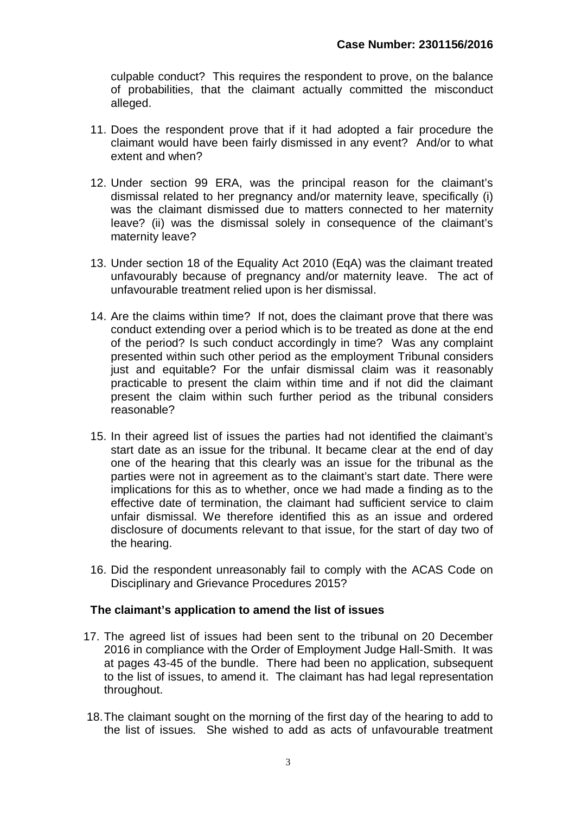culpable conduct? This requires the respondent to prove, on the balance of probabilities, that the claimant actually committed the misconduct alleged.

- 11. Does the respondent prove that if it had adopted a fair procedure the claimant would have been fairly dismissed in any event? And/or to what extent and when?
- 12. Under section 99 ERA, was the principal reason for the claimant's dismissal related to her pregnancy and/or maternity leave, specifically (i) was the claimant dismissed due to matters connected to her maternity leave? (ii) was the dismissal solely in consequence of the claimant's maternity leave?
- 13. Under section 18 of the Equality Act 2010 (EqA) was the claimant treated unfavourably because of pregnancy and/or maternity leave. The act of unfavourable treatment relied upon is her dismissal.
- 14. Are the claims within time? If not, does the claimant prove that there was conduct extending over a period which is to be treated as done at the end of the period? Is such conduct accordingly in time? Was any complaint presented within such other period as the employment Tribunal considers just and equitable? For the unfair dismissal claim was it reasonably practicable to present the claim within time and if not did the claimant present the claim within such further period as the tribunal considers reasonable?
- 15. In their agreed list of issues the parties had not identified the claimant's start date as an issue for the tribunal. It became clear at the end of day one of the hearing that this clearly was an issue for the tribunal as the parties were not in agreement as to the claimant's start date. There were implications for this as to whether, once we had made a finding as to the effective date of termination, the claimant had sufficient service to claim unfair dismissal. We therefore identified this as an issue and ordered disclosure of documents relevant to that issue, for the start of day two of the hearing.
- 16. Did the respondent unreasonably fail to comply with the ACAS Code on Disciplinary and Grievance Procedures 2015?

## **The claimant's application to amend the list of issues**

- 17. The agreed list of issues had been sent to the tribunal on 20 December 2016 in compliance with the Order of Employment Judge Hall-Smith. It was at pages 43-45 of the bundle. There had been no application, subsequent to the list of issues, to amend it. The claimant has had legal representation throughout.
- 18.The claimant sought on the morning of the first day of the hearing to add to the list of issues. She wished to add as acts of unfavourable treatment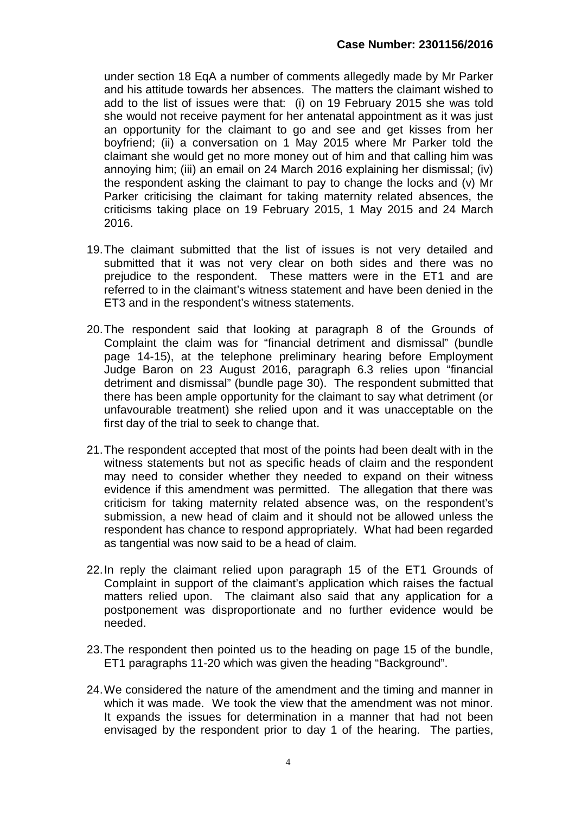under section 18 EqA a number of comments allegedly made by Mr Parker and his attitude towards her absences. The matters the claimant wished to add to the list of issues were that: (i) on 19 February 2015 she was told she would not receive payment for her antenatal appointment as it was just an opportunity for the claimant to go and see and get kisses from her boyfriend; (ii) a conversation on 1 May 2015 where Mr Parker told the claimant she would get no more money out of him and that calling him was annoying him; (iii) an email on 24 March 2016 explaining her dismissal; (iv) the respondent asking the claimant to pay to change the locks and (v) Mr Parker criticising the claimant for taking maternity related absences, the criticisms taking place on 19 February 2015, 1 May 2015 and 24 March 2016.

- 19.The claimant submitted that the list of issues is not very detailed and submitted that it was not very clear on both sides and there was no prejudice to the respondent. These matters were in the ET1 and are referred to in the claimant's witness statement and have been denied in the ET3 and in the respondent's witness statements.
- 20.The respondent said that looking at paragraph 8 of the Grounds of Complaint the claim was for "financial detriment and dismissal" (bundle page 14-15), at the telephone preliminary hearing before Employment Judge Baron on 23 August 2016, paragraph 6.3 relies upon "financial detriment and dismissal" (bundle page 30). The respondent submitted that there has been ample opportunity for the claimant to say what detriment (or unfavourable treatment) she relied upon and it was unacceptable on the first day of the trial to seek to change that.
- 21.The respondent accepted that most of the points had been dealt with in the witness statements but not as specific heads of claim and the respondent may need to consider whether they needed to expand on their witness evidence if this amendment was permitted. The allegation that there was criticism for taking maternity related absence was, on the respondent's submission, a new head of claim and it should not be allowed unless the respondent has chance to respond appropriately. What had been regarded as tangential was now said to be a head of claim.
- 22.In reply the claimant relied upon paragraph 15 of the ET1 Grounds of Complaint in support of the claimant's application which raises the factual matters relied upon. The claimant also said that any application for a postponement was disproportionate and no further evidence would be needed.
- 23.The respondent then pointed us to the heading on page 15 of the bundle, ET1 paragraphs 11-20 which was given the heading "Background".
- 24.We considered the nature of the amendment and the timing and manner in which it was made. We took the view that the amendment was not minor. It expands the issues for determination in a manner that had not been envisaged by the respondent prior to day 1 of the hearing. The parties,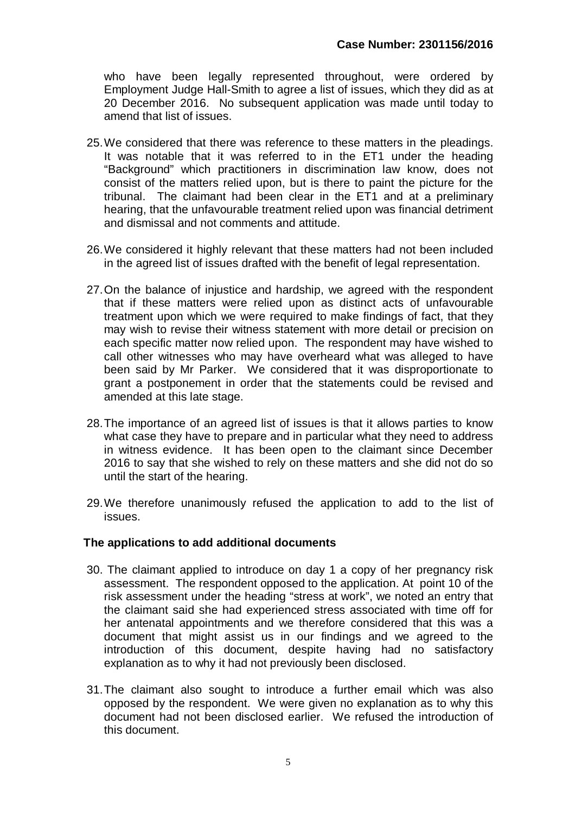who have been legally represented throughout, were ordered by Employment Judge Hall-Smith to agree a list of issues, which they did as at 20 December 2016. No subsequent application was made until today to amend that list of issues.

- 25.We considered that there was reference to these matters in the pleadings. It was notable that it was referred to in the ET1 under the heading "Background" which practitioners in discrimination law know, does not consist of the matters relied upon, but is there to paint the picture for the tribunal. The claimant had been clear in the ET1 and at a preliminary hearing, that the unfavourable treatment relied upon was financial detriment and dismissal and not comments and attitude.
- 26.We considered it highly relevant that these matters had not been included in the agreed list of issues drafted with the benefit of legal representation.
- 27.On the balance of injustice and hardship, we agreed with the respondent that if these matters were relied upon as distinct acts of unfavourable treatment upon which we were required to make findings of fact, that they may wish to revise their witness statement with more detail or precision on each specific matter now relied upon. The respondent may have wished to call other witnesses who may have overheard what was alleged to have been said by Mr Parker. We considered that it was disproportionate to grant a postponement in order that the statements could be revised and amended at this late stage.
- 28.The importance of an agreed list of issues is that it allows parties to know what case they have to prepare and in particular what they need to address in witness evidence. It has been open to the claimant since December 2016 to say that she wished to rely on these matters and she did not do so until the start of the hearing.
- 29.We therefore unanimously refused the application to add to the list of issues.

## **The applications to add additional documents**

- 30. The claimant applied to introduce on day 1 a copy of her pregnancy risk assessment. The respondent opposed to the application. At point 10 of the risk assessment under the heading "stress at work", we noted an entry that the claimant said she had experienced stress associated with time off for her antenatal appointments and we therefore considered that this was a document that might assist us in our findings and we agreed to the introduction of this document, despite having had no satisfactory explanation as to why it had not previously been disclosed.
- 31.The claimant also sought to introduce a further email which was also opposed by the respondent. We were given no explanation as to why this document had not been disclosed earlier. We refused the introduction of this document.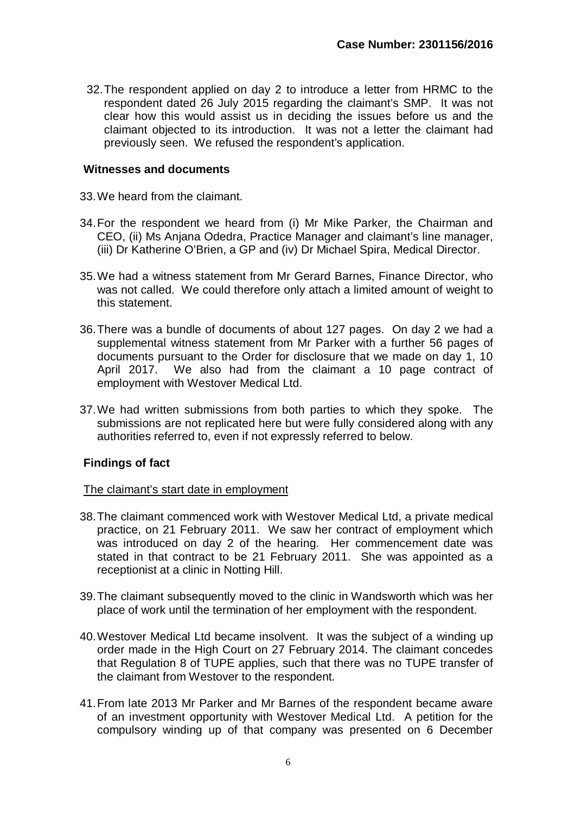32.The respondent applied on day 2 to introduce a letter from HRMC to the respondent dated 26 July 2015 regarding the claimant's SMP. It was not clear how this would assist us in deciding the issues before us and the claimant objected to its introduction. It was not a letter the claimant had previously seen. We refused the respondent's application.

#### **Witnesses and documents**

- 33.We heard from the claimant.
- 34.For the respondent we heard from (i) Mr Mike Parker, the Chairman and CEO, (ii) Ms Anjana Odedra, Practice Manager and claimant's line manager, (iii) Dr Katherine O'Brien, a GP and (iv) Dr Michael Spira, Medical Director.
- 35.We had a witness statement from Mr Gerard Barnes, Finance Director, who was not called. We could therefore only attach a limited amount of weight to this statement.
- 36.There was a bundle of documents of about 127 pages. On day 2 we had a supplemental witness statement from Mr Parker with a further 56 pages of documents pursuant to the Order for disclosure that we made on day 1, 10 April 2017. We also had from the claimant a 10 page contract of employment with Westover Medical Ltd.
- 37.We had written submissions from both parties to which they spoke. The submissions are not replicated here but were fully considered along with any authorities referred to, even if not expressly referred to below.

## **Findings of fact**

#### The claimant's start date in employment

- 38.The claimant commenced work with Westover Medical Ltd, a private medical practice, on 21 February 2011. We saw her contract of employment which was introduced on day 2 of the hearing. Her commencement date was stated in that contract to be 21 February 2011. She was appointed as a receptionist at a clinic in Notting Hill.
- 39.The claimant subsequently moved to the clinic in Wandsworth which was her place of work until the termination of her employment with the respondent.
- 40.Westover Medical Ltd became insolvent. It was the subject of a winding up order made in the High Court on 27 February 2014. The claimant concedes that Regulation 8 of TUPE applies, such that there was no TUPE transfer of the claimant from Westover to the respondent.
- 41.From late 2013 Mr Parker and Mr Barnes of the respondent became aware of an investment opportunity with Westover Medical Ltd. A petition for the compulsory winding up of that company was presented on 6 December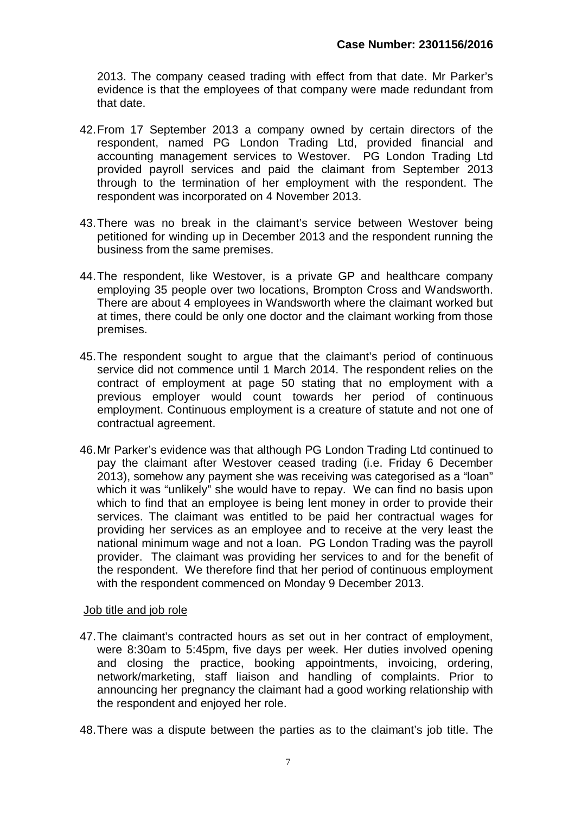2013. The company ceased trading with effect from that date. Mr Parker's evidence is that the employees of that company were made redundant from that date.

- 42.From 17 September 2013 a company owned by certain directors of the respondent, named PG London Trading Ltd, provided financial and accounting management services to Westover. PG London Trading Ltd provided payroll services and paid the claimant from September 2013 through to the termination of her employment with the respondent. The respondent was incorporated on 4 November 2013.
- 43.There was no break in the claimant's service between Westover being petitioned for winding up in December 2013 and the respondent running the business from the same premises.
- 44.The respondent, like Westover, is a private GP and healthcare company employing 35 people over two locations, Brompton Cross and Wandsworth. There are about 4 employees in Wandsworth where the claimant worked but at times, there could be only one doctor and the claimant working from those premises.
- 45.The respondent sought to argue that the claimant's period of continuous service did not commence until 1 March 2014. The respondent relies on the contract of employment at page 50 stating that no employment with a previous employer would count towards her period of continuous employment. Continuous employment is a creature of statute and not one of contractual agreement.
- 46.Mr Parker's evidence was that although PG London Trading Ltd continued to pay the claimant after Westover ceased trading (i.e. Friday 6 December 2013), somehow any payment she was receiving was categorised as a "loan" which it was "unlikely" she would have to repay. We can find no basis upon which to find that an employee is being lent money in order to provide their services. The claimant was entitled to be paid her contractual wages for providing her services as an employee and to receive at the very least the national minimum wage and not a loan. PG London Trading was the payroll provider. The claimant was providing her services to and for the benefit of the respondent. We therefore find that her period of continuous employment with the respondent commenced on Monday 9 December 2013.

## Job title and job role

- 47.The claimant's contracted hours as set out in her contract of employment, were 8:30am to 5:45pm, five days per week. Her duties involved opening and closing the practice, booking appointments, invoicing, ordering, network/marketing, staff liaison and handling of complaints. Prior to announcing her pregnancy the claimant had a good working relationship with the respondent and enjoyed her role.
- 48.There was a dispute between the parties as to the claimant's job title. The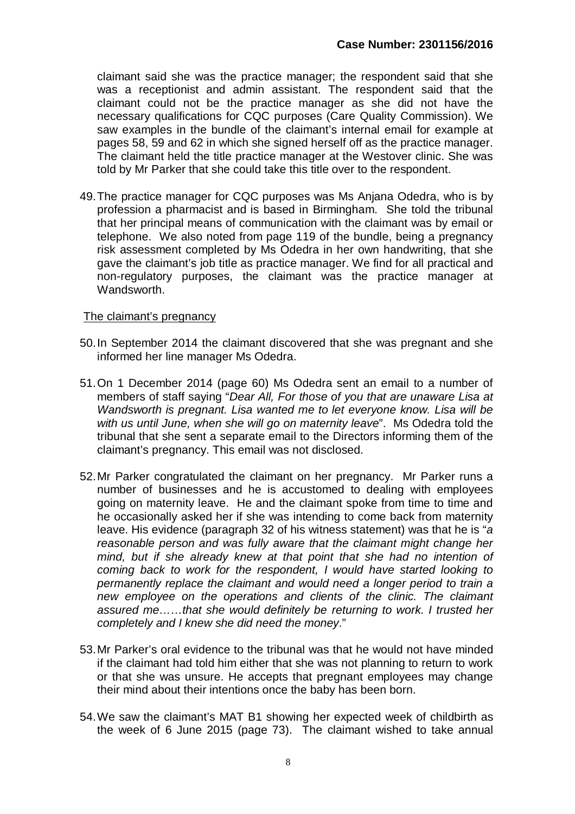claimant said she was the practice manager; the respondent said that she was a receptionist and admin assistant. The respondent said that the claimant could not be the practice manager as she did not have the necessary qualifications for CQC purposes (Care Quality Commission). We saw examples in the bundle of the claimant's internal email for example at pages 58, 59 and 62 in which she signed herself off as the practice manager. The claimant held the title practice manager at the Westover clinic. She was told by Mr Parker that she could take this title over to the respondent.

49.The practice manager for CQC purposes was Ms Anjana Odedra, who is by profession a pharmacist and is based in Birmingham. She told the tribunal that her principal means of communication with the claimant was by email or telephone. We also noted from page 119 of the bundle, being a pregnancy risk assessment completed by Ms Odedra in her own handwriting, that she gave the claimant's job title as practice manager. We find for all practical and non-regulatory purposes, the claimant was the practice manager at Wandsworth.

#### The claimant's pregnancy

- 50.In September 2014 the claimant discovered that she was pregnant and she informed her line manager Ms Odedra.
- 51.On 1 December 2014 (page 60) Ms Odedra sent an email to a number of members of staff saying "*Dear All, For those of you that are unaware Lisa at Wandsworth is pregnant. Lisa wanted me to let everyone know. Lisa will be with us until June, when she will go on maternity leave*". Ms Odedra told the tribunal that she sent a separate email to the Directors informing them of the claimant's pregnancy. This email was not disclosed.
- 52.Mr Parker congratulated the claimant on her pregnancy. Mr Parker runs a number of businesses and he is accustomed to dealing with employees going on maternity leave. He and the claimant spoke from time to time and he occasionally asked her if she was intending to come back from maternity leave. His evidence (paragraph 32 of his witness statement) was that he is "*a reasonable person and was fully aware that the claimant might change her mind, but if she already knew at that point that she had no intention of coming back to work for the respondent, I would have started looking to permanently replace the claimant and would need a longer period to train a new employee on the operations and clients of the clinic. The claimant assured me……that she would definitely be returning to work. I trusted her completely and I knew she did need the money*."
- 53.Mr Parker's oral evidence to the tribunal was that he would not have minded if the claimant had told him either that she was not planning to return to work or that she was unsure. He accepts that pregnant employees may change their mind about their intentions once the baby has been born.
- 54.We saw the claimant's MAT B1 showing her expected week of childbirth as the week of 6 June 2015 (page 73). The claimant wished to take annual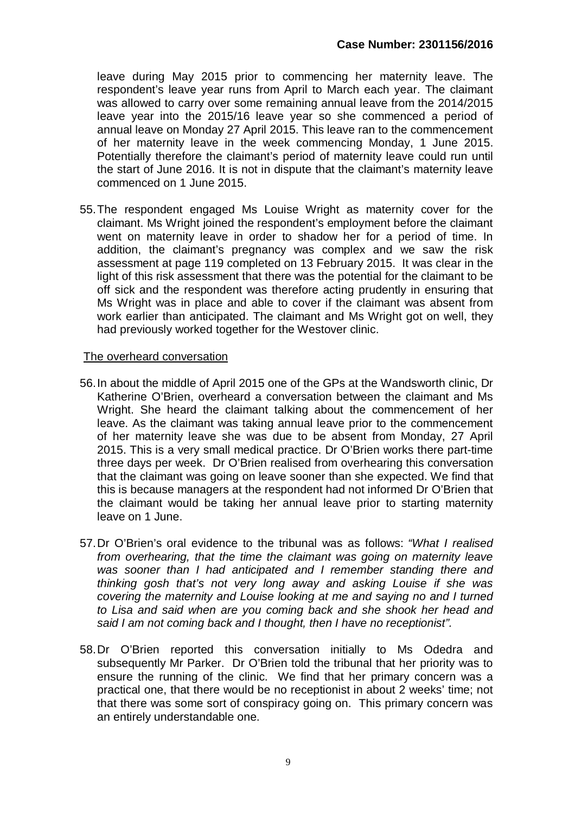leave during May 2015 prior to commencing her maternity leave. The respondent's leave year runs from April to March each year. The claimant was allowed to carry over some remaining annual leave from the 2014/2015 leave year into the 2015/16 leave year so she commenced a period of annual leave on Monday 27 April 2015. This leave ran to the commencement of her maternity leave in the week commencing Monday, 1 June 2015. Potentially therefore the claimant's period of maternity leave could run until the start of June 2016. It is not in dispute that the claimant's maternity leave commenced on 1 June 2015.

55.The respondent engaged Ms Louise Wright as maternity cover for the claimant. Ms Wright joined the respondent's employment before the claimant went on maternity leave in order to shadow her for a period of time. In addition, the claimant's pregnancy was complex and we saw the risk assessment at page 119 completed on 13 February 2015. It was clear in the light of this risk assessment that there was the potential for the claimant to be off sick and the respondent was therefore acting prudently in ensuring that Ms Wright was in place and able to cover if the claimant was absent from work earlier than anticipated. The claimant and Ms Wright got on well, they had previously worked together for the Westover clinic.

#### The overheard conversation

- 56.In about the middle of April 2015 one of the GPs at the Wandsworth clinic, Dr Katherine O'Brien, overheard a conversation between the claimant and Ms Wright. She heard the claimant talking about the commencement of her leave. As the claimant was taking annual leave prior to the commencement of her maternity leave she was due to be absent from Monday, 27 April 2015. This is a very small medical practice. Dr O'Brien works there part-time three days per week. Dr O'Brien realised from overhearing this conversation that the claimant was going on leave sooner than she expected. We find that this is because managers at the respondent had not informed Dr O'Brien that the claimant would be taking her annual leave prior to starting maternity leave on 1 June.
- 57.Dr O'Brien's oral evidence to the tribunal was as follows: *"What I realised from overhearing, that the time the claimant was going on maternity leave was sooner than I had anticipated and I remember standing there and thinking gosh that's not very long away and asking Louise if she was covering the maternity and Louise looking at me and saying no and I turned to Lisa and said when are you coming back and she shook her head and said I am not coming back and I thought, then I have no receptionist".*
- 58.Dr O'Brien reported this conversation initially to Ms Odedra and subsequently Mr Parker. Dr O'Brien told the tribunal that her priority was to ensure the running of the clinic. We find that her primary concern was a practical one, that there would be no receptionist in about 2 weeks' time; not that there was some sort of conspiracy going on. This primary concern was an entirely understandable one.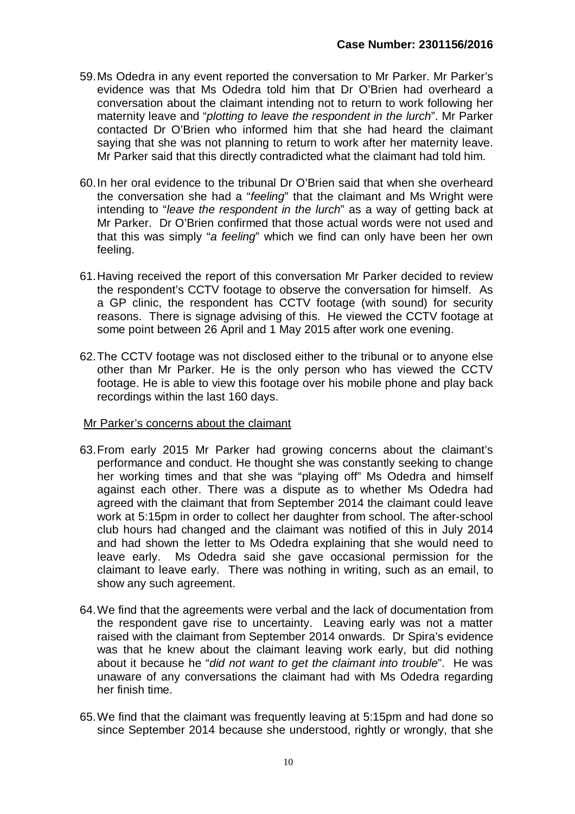- 59.Ms Odedra in any event reported the conversation to Mr Parker. Mr Parker's evidence was that Ms Odedra told him that Dr O'Brien had overheard a conversation about the claimant intending not to return to work following her maternity leave and "*plotting to leave the respondent in the lurch*". Mr Parker contacted Dr O'Brien who informed him that she had heard the claimant saying that she was not planning to return to work after her maternity leave. Mr Parker said that this directly contradicted what the claimant had told him.
- 60.In her oral evidence to the tribunal Dr O'Brien said that when she overheard the conversation she had a "*feeling*" that the claimant and Ms Wright were intending to "*leave the respondent in the lurch*" as a way of getting back at Mr Parker. Dr O'Brien confirmed that those actual words were not used and that this was simply "*a feeling*" which we find can only have been her own feeling.
- 61.Having received the report of this conversation Mr Parker decided to review the respondent's CCTV footage to observe the conversation for himself. As a GP clinic, the respondent has CCTV footage (with sound) for security reasons. There is signage advising of this. He viewed the CCTV footage at some point between 26 April and 1 May 2015 after work one evening.
- 62.The CCTV footage was not disclosed either to the tribunal or to anyone else other than Mr Parker. He is the only person who has viewed the CCTV footage. He is able to view this footage over his mobile phone and play back recordings within the last 160 days.

## Mr Parker's concerns about the claimant

- 63.From early 2015 Mr Parker had growing concerns about the claimant's performance and conduct. He thought she was constantly seeking to change her working times and that she was "playing off" Ms Odedra and himself against each other. There was a dispute as to whether Ms Odedra had agreed with the claimant that from September 2014 the claimant could leave work at 5:15pm in order to collect her daughter from school. The after-school club hours had changed and the claimant was notified of this in July 2014 and had shown the letter to Ms Odedra explaining that she would need to leave early. Ms Odedra said she gave occasional permission for the claimant to leave early. There was nothing in writing, such as an email, to show any such agreement.
- 64.We find that the agreements were verbal and the lack of documentation from the respondent gave rise to uncertainty. Leaving early was not a matter raised with the claimant from September 2014 onwards. Dr Spira's evidence was that he knew about the claimant leaving work early, but did nothing about it because he "*did not want to get the claimant into trouble*". He was unaware of any conversations the claimant had with Ms Odedra regarding her finish time.
- 65.We find that the claimant was frequently leaving at 5:15pm and had done so since September 2014 because she understood, rightly or wrongly, that she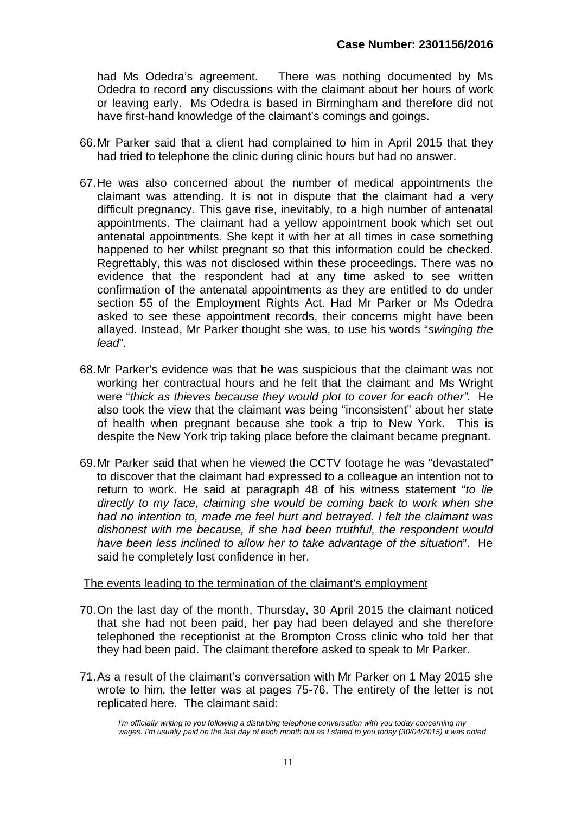had Ms Odedra's agreement. There was nothing documented by Ms Odedra to record any discussions with the claimant about her hours of work or leaving early. Ms Odedra is based in Birmingham and therefore did not have first-hand knowledge of the claimant's comings and goings.

- 66.Mr Parker said that a client had complained to him in April 2015 that they had tried to telephone the clinic during clinic hours but had no answer.
- 67.He was also concerned about the number of medical appointments the claimant was attending. It is not in dispute that the claimant had a very difficult pregnancy. This gave rise, inevitably, to a high number of antenatal appointments. The claimant had a yellow appointment book which set out antenatal appointments. She kept it with her at all times in case something happened to her whilst pregnant so that this information could be checked. Regrettably, this was not disclosed within these proceedings. There was no evidence that the respondent had at any time asked to see written confirmation of the antenatal appointments as they are entitled to do under section 55 of the Employment Rights Act. Had Mr Parker or Ms Odedra asked to see these appointment records, their concerns might have been allayed. Instead, Mr Parker thought she was, to use his words "*swinging the lead*".
- 68.Mr Parker's evidence was that he was suspicious that the claimant was not working her contractual hours and he felt that the claimant and Ms Wright were "*thick as thieves because they would plot to cover for each other".* He also took the view that the claimant was being "inconsistent" about her state of health when pregnant because she took a trip to New York. This is despite the New York trip taking place before the claimant became pregnant.
- 69.Mr Parker said that when he viewed the CCTV footage he was "devastated" to discover that the claimant had expressed to a colleague an intention not to return to work. He said at paragraph 48 of his witness statement "*to lie directly to my face, claiming she would be coming back to work when she had no intention to, made me feel hurt and betrayed. I felt the claimant was dishonest with me because, if she had been truthful, the respondent would have been less inclined to allow her to take advantage of the situation*". He said he completely lost confidence in her.

#### The events leading to the termination of the claimant's employment

- 70.On the last day of the month, Thursday, 30 April 2015 the claimant noticed that she had not been paid, her pay had been delayed and she therefore telephoned the receptionist at the Brompton Cross clinic who told her that they had been paid. The claimant therefore asked to speak to Mr Parker.
- 71.As a result of the claimant's conversation with Mr Parker on 1 May 2015 she wrote to him, the letter was at pages 75-76. The entirety of the letter is not replicated here. The claimant said:

*I'm officially writing to you following a disturbing telephone conversation with you today concerning my wages. I'm usually paid on the last day of each month but as I stated to you today (30/04/2015) it was noted*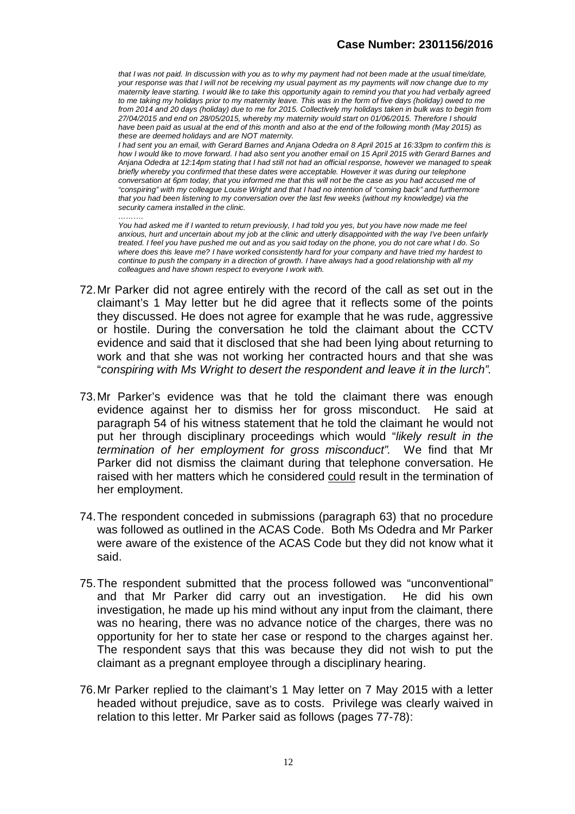*that I was not paid. In discussion with you as to why my payment had not been made at the usual time/date, your response was that I will not be receiving my usual payment as my payments will now change due to my maternity leave starting. I would like to take this opportunity again to remind you that you had verbally agreed*  to me taking my holidays prior to my maternity leave. This was in the form of five days (holiday) owed to me *from 2014 and 20 days (holiday) due to me for 2015. Collectively my holidays taken in bulk was to begin from 27/04/2015 and end on 28/05/2015, whereby my maternity would start on 01/06/2015. Therefore I should have been paid as usual at the end of this month and also at the end of the following month (May 2015) as these are deemed holidays and are NOT maternity.*

*I had sent you an email, with Gerard Barnes and Anjana Odedra on 8 April 2015 at 16:33pm to confirm this is how I would like to move forward. I had also sent you another email on 15 April 2015 with Gerard Barnes and Anjana Odedra at 12:14pm stating that I had still not had an official response, however we managed to speak briefly whereby you confirmed that these dates were acceptable. However it was during our telephone conversation at 6pm today, that you informed me that this will not be the case as you had accused me of "conspiring" with my colleague Louise Wright and that I had no intention of "coming back" and furthermore that you had been listening to my conversation over the last few weeks (without my knowledge) via the security camera installed in the clinic.*

*………. You had asked me if I wanted to return previously, I had told you yes, but you have now made me feel* anxious, hurt and uncertain about my job at the clinic and utterly disappointed with the way I've been unfairly *treated. I feel you have pushed me out and as you said today on the phone, you do not care what I do. So where does this leave me? I have worked consistently hard for your company and have tried my hardest to continue to push the company in a direction of growth. I have always had a good relationship with all my colleagues and have shown respect to everyone I work with.*

- 72.Mr Parker did not agree entirely with the record of the call as set out in the claimant's 1 May letter but he did agree that it reflects some of the points they discussed. He does not agree for example that he was rude, aggressive or hostile. During the conversation he told the claimant about the CCTV evidence and said that it disclosed that she had been lying about returning to work and that she was not working her contracted hours and that she was "*conspiring with Ms Wright to desert the respondent and leave it in the lurch".*
- 73.Mr Parker's evidence was that he told the claimant there was enough evidence against her to dismiss her for gross misconduct. He said at paragraph 54 of his witness statement that he told the claimant he would not put her through disciplinary proceedings which would "*likely result in the termination of her employment for gross misconduct".* We find that Mr Parker did not dismiss the claimant during that telephone conversation. He raised with her matters which he considered could result in the termination of her employment.
- 74.The respondent conceded in submissions (paragraph 63) that no procedure was followed as outlined in the ACAS Code. Both Ms Odedra and Mr Parker were aware of the existence of the ACAS Code but they did not know what it said.
- 75.The respondent submitted that the process followed was "unconventional" and that Mr Parker did carry out an investigation. He did his own investigation, he made up his mind without any input from the claimant, there was no hearing, there was no advance notice of the charges, there was no opportunity for her to state her case or respond to the charges against her. The respondent says that this was because they did not wish to put the claimant as a pregnant employee through a disciplinary hearing.
- 76.Mr Parker replied to the claimant's 1 May letter on 7 May 2015 with a letter headed without prejudice, save as to costs. Privilege was clearly waived in relation to this letter. Mr Parker said as follows (pages 77-78):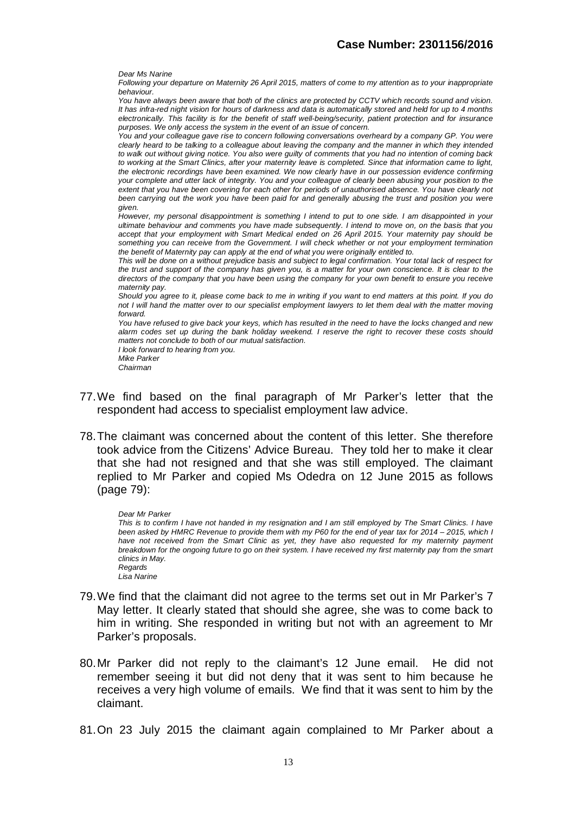*Dear Ms Narine*

*Following your departure on Maternity 26 April 2015, matters of come to my attention as to your inappropriate behaviour.*

*You have always been aware that both of the clinics are protected by CCTV which records sound and vision. It has infra-red night vision for hours of darkness and data is automatically stored and held for up to 4 months electronically. This facility is for the benefit of staff well-being/security, patient protection and for insurance purposes. We only access the system in the event of an issue of concern.*

*You and your colleague gave rise to concern following conversations overheard by a company GP. You were clearly heard to be talking to a colleague about leaving the company and the manner in which they intended to walk out without giving notice. You also were guilty of comments that you had no intention of coming back*  to working at the Smart Clinics, after your maternity leave is completed. Since that information came to light, *the electronic recordings have been examined. We now clearly have in our possession evidence confirming your complete and utter lack of integrity. You and your colleague of clearly been abusing your position to the*  extent that you have been covering for each other for periods of unauthorised absence. You have clearly not been carrying out the work you have been paid for and generally abusing the trust and position you were *given.*

*However, my personal disappointment is something I intend to put to one side. I am disappointed in your ultimate behaviour and comments you have made subsequently. I intend to move on, on the basis that you accept that your employment with Smart Medical ended on 26 April 2015. Your maternity pay should be something you can receive from the Government. I will check whether or not your employment termination the benefit of Maternity pay can apply at the end of what you were originally entitled to.*

*This will be done on a without prejudice basis and subject to legal confirmation. Your total lack of respect for the trust and support of the company has given you, is a matter for your own conscience. It is clear to the directors of the company that you have been using the company for your own benefit to ensure you receive maternity pay.*

*Should you agree to it, please come back to me in writing if you want to end matters at this point. If you do not I will hand the matter over to our specialist employment lawyers to let them deal with the matter moving forward.*

*You have refused to give back your keys, which has resulted in the need to have the locks changed and new alarm codes set up during the bank holiday weekend. I reserve the right to recover these costs should matters not conclude to both of our mutual satisfaction. I look forward to hearing from you.*

*Mike Parker Chairman*

- 77.We find based on the final paragraph of Mr Parker's letter that the respondent had access to specialist employment law advice.
- 78.The claimant was concerned about the content of this letter. She therefore took advice from the Citizens' Advice Bureau. They told her to make it clear that she had not resigned and that she was still employed. The claimant replied to Mr Parker and copied Ms Odedra on 12 June 2015 as follows (page 79):

*Dear Mr Parker This is to confirm I have not handed in my resignation and I am still employed by The Smart Clinics. I have been asked by HMRC Revenue to provide them with my P60 for the end of year tax for 2014 – 2015, which I*  have not received from the Smart Clinic as yet, they have also requested for my maternity payment *breakdown for the ongoing future to go on their system. I have received my first maternity pay from the smart clinics in May. Regards Lisa Narine*

- 79.We find that the claimant did not agree to the terms set out in Mr Parker's 7 May letter. It clearly stated that should she agree, she was to come back to him in writing. She responded in writing but not with an agreement to Mr Parker's proposals.
- 80.Mr Parker did not reply to the claimant's 12 June email. He did not remember seeing it but did not deny that it was sent to him because he receives a very high volume of emails. We find that it was sent to him by the claimant.
- 81.On 23 July 2015 the claimant again complained to Mr Parker about a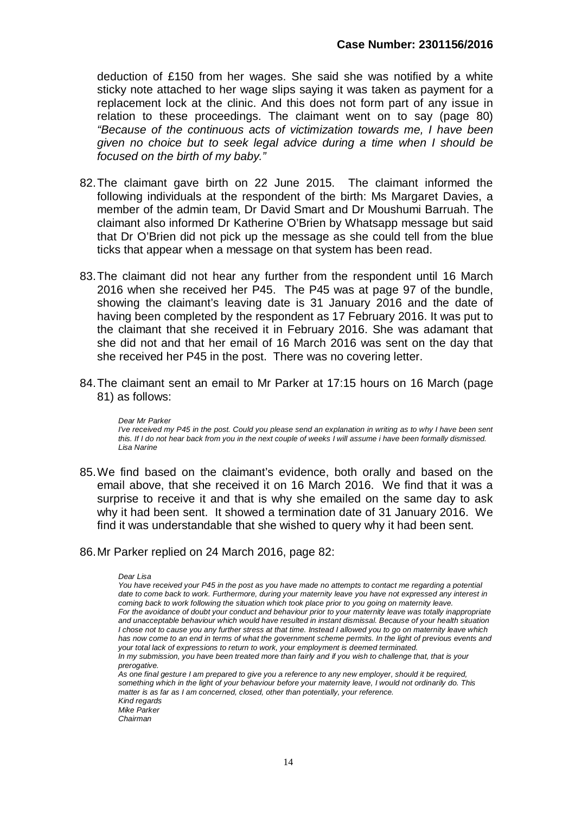deduction of £150 from her wages. She said she was notified by a white sticky note attached to her wage slips saying it was taken as payment for a replacement lock at the clinic. And this does not form part of any issue in relation to these proceedings. The claimant went on to say (page 80) *"Because of the continuous acts of victimization towards me, I have been given no choice but to seek legal advice during a time when I should be focused on the birth of my baby."* 

- 82.The claimant gave birth on 22 June 2015. The claimant informed the following individuals at the respondent of the birth: Ms Margaret Davies, a member of the admin team, Dr David Smart and Dr Moushumi Barruah. The claimant also informed Dr Katherine O'Brien by Whatsapp message but said that Dr O'Brien did not pick up the message as she could tell from the blue ticks that appear when a message on that system has been read.
- 83.The claimant did not hear any further from the respondent until 16 March 2016 when she received her P45. The P45 was at page 97 of the bundle, showing the claimant's leaving date is 31 January 2016 and the date of having been completed by the respondent as 17 February 2016. It was put to the claimant that she received it in February 2016. She was adamant that she did not and that her email of 16 March 2016 was sent on the day that she received her P45 in the post. There was no covering letter.
- 84.The claimant sent an email to Mr Parker at 17:15 hours on 16 March (page 81) as follows:

*Dear Mr Parker I've received my P45 in the post. Could you please send an explanation in writing as to why I have been sent this. If I do not hear back from you in the next couple of weeks I will assume i have been formally dismissed. Lisa Narine*

85.We find based on the claimant's evidence, both orally and based on the email above, that she received it on 16 March 2016. We find that it was a surprise to receive it and that is why she emailed on the same day to ask why it had been sent. It showed a termination date of 31 January 2016. We find it was understandable that she wished to query why it had been sent.

#### 86.Mr Parker replied on 24 March 2016, page 82:

*Dear Lisa*

*You have received your P45 in the post as you have made no attempts to contact me regarding a potential date to come back to work. Furthermore, during your maternity leave you have not expressed any interest in coming back to work following the situation which took place prior to you going on maternity leave. For the avoidance of doubt your conduct and behaviour prior to your maternity leave was totally inappropriate and unacceptable behaviour which would have resulted in instant dismissal. Because of your health situation I chose not to cause you any further stress at that time. Instead I allowed you to go on maternity leave which has now come to an end in terms of what the government scheme permits. In the light of previous events and your total lack of expressions to return to work, your employment is deemed terminated. In my submission, you have been treated more than fairly and if you wish to challenge that, that is your prerogative.*

*As one final gesture I am prepared to give you a reference to any new employer, should it be required, something which in the light of your behaviour before your maternity leave, I would not ordinarily do. This matter is as far as I am concerned, closed, other than potentially, your reference. Kind regards*

*Mike Parker*

*Chairman*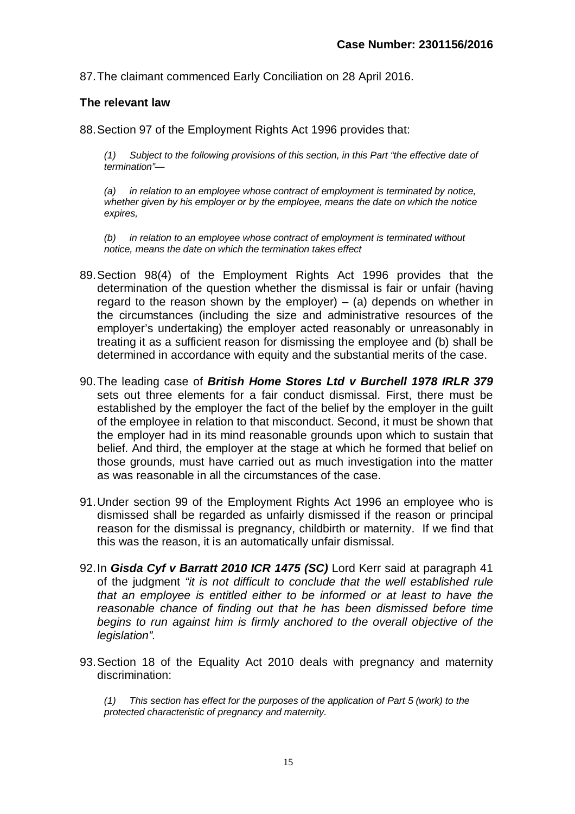87.The claimant commenced Early Conciliation on 28 April 2016.

#### **The relevant law**

88.Section 97 of the Employment Rights Act 1996 provides that:

*(1) Subject to the following provisions of this section, in this Part "the effective date of termination"—*

*(a) in relation to an employee whose contract of employment is terminated by notice, whether given by his employer or by the employee, means the date on which the notice expires,*

*(b) in relation to an employee whose contract of employment is terminated without notice, means the date on which the termination takes effect*

- 89.Section 98(4) of the Employment Rights Act 1996 provides that the determination of the question whether the dismissal is fair or unfair (having regard to the reason shown by the employer) – (a) depends on whether in the circumstances (including the size and administrative resources of the employer's undertaking) the employer acted reasonably or unreasonably in treating it as a sufficient reason for dismissing the employee and (b) shall be determined in accordance with equity and the substantial merits of the case.
- 90.The leading case of *British Home Stores Ltd v Burchell 1978 IRLR 379* sets out three elements for a fair conduct dismissal. First, there must be established by the employer the fact of the belief by the employer in the guilt of the employee in relation to that misconduct. Second, it must be shown that the employer had in its mind reasonable grounds upon which to sustain that belief. And third, the employer at the stage at which he formed that belief on those grounds, must have carried out as much investigation into the matter as was reasonable in all the circumstances of the case.
- 91.Under section 99 of the Employment Rights Act 1996 an employee who is dismissed shall be regarded as unfairly dismissed if the reason or principal reason for the dismissal is pregnancy, childbirth or maternity. If we find that this was the reason, it is an automatically unfair dismissal.
- 92.In *Gisda Cyf v Barratt 2010 ICR 1475 (SC)* Lord Kerr said at paragraph 41 of the judgment *"it is not difficult to conclude that the well established rule that an employee is entitled either to be informed or at least to have the reasonable chance of finding out that he has been dismissed before time begins to run against him is firmly anchored to the overall objective of the legislation".*
- 93.Section 18 of the Equality Act 2010 deals with pregnancy and maternity discrimination:

*(1) This section has effect for the purposes of the application of Part 5 (work) to the protected characteristic of pregnancy and maternity.*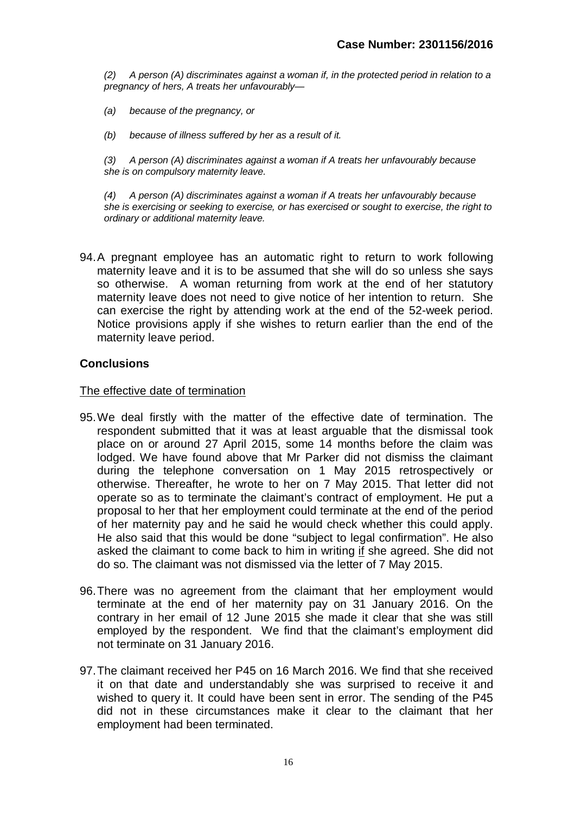*(2) A person (A) discriminates against a woman if, in the protected period in relation to a pregnancy of hers, A treats her unfavourably—*

- *(a) because of the pregnancy, or*
- *(b) because of illness suffered by her as a result of it.*

*(3) A person (A) discriminates against a woman if A treats her unfavourably because she is on compulsory maternity leave.*

*(4) A person (A) discriminates against a woman if A treats her unfavourably because she is exercising or seeking to exercise, or has exercised or sought to exercise, the right to ordinary or additional maternity leave.*

94.A pregnant employee has an automatic right to return to work following maternity leave and it is to be assumed that she will do so unless she says so otherwise. A woman returning from work at the end of her statutory maternity leave does not need to give notice of her intention to return. She can exercise the right by attending work at the end of the 52-week period. Notice provisions apply if she wishes to return earlier than the end of the maternity leave period.

#### **Conclusions**

#### The effective date of termination

- 95.We deal firstly with the matter of the effective date of termination. The respondent submitted that it was at least arguable that the dismissal took place on or around 27 April 2015, some 14 months before the claim was lodged. We have found above that Mr Parker did not dismiss the claimant during the telephone conversation on 1 May 2015 retrospectively or otherwise. Thereafter, he wrote to her on 7 May 2015. That letter did not operate so as to terminate the claimant's contract of employment. He put a proposal to her that her employment could terminate at the end of the period of her maternity pay and he said he would check whether this could apply. He also said that this would be done "subject to legal confirmation". He also asked the claimant to come back to him in writing if she agreed. She did not do so. The claimant was not dismissed via the letter of 7 May 2015.
- 96.There was no agreement from the claimant that her employment would terminate at the end of her maternity pay on 31 January 2016. On the contrary in her email of 12 June 2015 she made it clear that she was still employed by the respondent. We find that the claimant's employment did not terminate on 31 January 2016.
- 97.The claimant received her P45 on 16 March 2016. We find that she received it on that date and understandably she was surprised to receive it and wished to query it. It could have been sent in error. The sending of the P45 did not in these circumstances make it clear to the claimant that her employment had been terminated.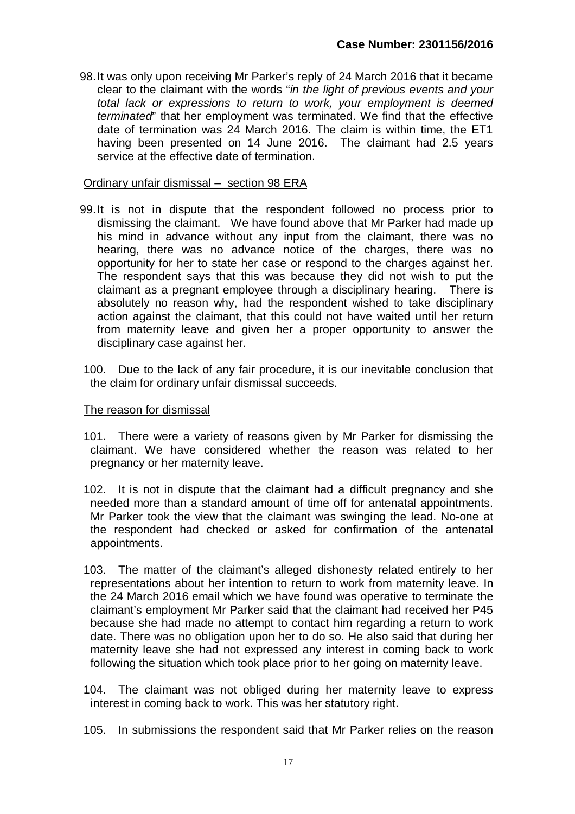98.It was only upon receiving Mr Parker's reply of 24 March 2016 that it became clear to the claimant with the words "*in the light of previous events and your total lack or expressions to return to work, your employment is deemed terminated*" that her employment was terminated. We find that the effective date of termination was 24 March 2016. The claim is within time, the ET1 having been presented on 14 June 2016. The claimant had 2.5 years service at the effective date of termination.

#### Ordinary unfair dismissal – section 98 ERA

- 99.It is not in dispute that the respondent followed no process prior to dismissing the claimant. We have found above that Mr Parker had made up his mind in advance without any input from the claimant, there was no hearing, there was no advance notice of the charges, there was no opportunity for her to state her case or respond to the charges against her. The respondent says that this was because they did not wish to put the claimant as a pregnant employee through a disciplinary hearing. There is absolutely no reason why, had the respondent wished to take disciplinary action against the claimant, that this could not have waited until her return from maternity leave and given her a proper opportunity to answer the disciplinary case against her.
- 100. Due to the lack of any fair procedure, it is our inevitable conclusion that the claim for ordinary unfair dismissal succeeds.

#### The reason for dismissal

- 101. There were a variety of reasons given by Mr Parker for dismissing the claimant. We have considered whether the reason was related to her pregnancy or her maternity leave.
- 102. It is not in dispute that the claimant had a difficult pregnancy and she needed more than a standard amount of time off for antenatal appointments. Mr Parker took the view that the claimant was swinging the lead. No-one at the respondent had checked or asked for confirmation of the antenatal appointments.
- 103. The matter of the claimant's alleged dishonesty related entirely to her representations about her intention to return to work from maternity leave. In the 24 March 2016 email which we have found was operative to terminate the claimant's employment Mr Parker said that the claimant had received her P45 because she had made no attempt to contact him regarding a return to work date. There was no obligation upon her to do so. He also said that during her maternity leave she had not expressed any interest in coming back to work following the situation which took place prior to her going on maternity leave.
- 104. The claimant was not obliged during her maternity leave to express interest in coming back to work. This was her statutory right.
- 105. In submissions the respondent said that Mr Parker relies on the reason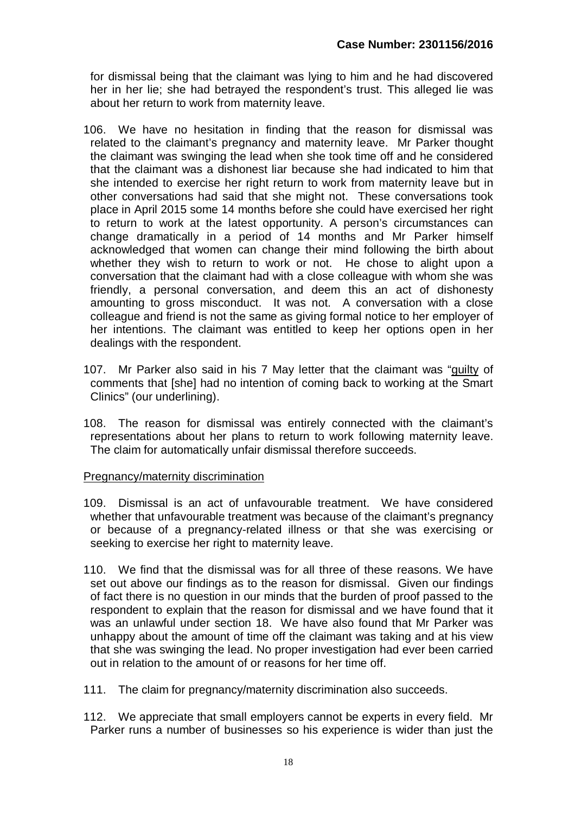for dismissal being that the claimant was lying to him and he had discovered her in her lie; she had betrayed the respondent's trust. This alleged lie was about her return to work from maternity leave.

- 106. We have no hesitation in finding that the reason for dismissal was related to the claimant's pregnancy and maternity leave. Mr Parker thought the claimant was swinging the lead when she took time off and he considered that the claimant was a dishonest liar because she had indicated to him that she intended to exercise her right return to work from maternity leave but in other conversations had said that she might not. These conversations took place in April 2015 some 14 months before she could have exercised her right to return to work at the latest opportunity. A person's circumstances can change dramatically in a period of 14 months and Mr Parker himself acknowledged that women can change their mind following the birth about whether they wish to return to work or not. He chose to alight upon a conversation that the claimant had with a close colleague with whom she was friendly, a personal conversation, and deem this an act of dishonesty amounting to gross misconduct. It was not. A conversation with a close colleague and friend is not the same as giving formal notice to her employer of her intentions. The claimant was entitled to keep her options open in her dealings with the respondent.
- 107. Mr Parker also said in his 7 May letter that the claimant was "guilty of comments that [she] had no intention of coming back to working at the Smart Clinics" (our underlining).
- 108. The reason for dismissal was entirely connected with the claimant's representations about her plans to return to work following maternity leave. The claim for automatically unfair dismissal therefore succeeds.

## Pregnancy/maternity discrimination

- 109. Dismissal is an act of unfavourable treatment. We have considered whether that unfavourable treatment was because of the claimant's pregnancy or because of a pregnancy-related illness or that she was exercising or seeking to exercise her right to maternity leave.
- 110. We find that the dismissal was for all three of these reasons. We have set out above our findings as to the reason for dismissal. Given our findings of fact there is no question in our minds that the burden of proof passed to the respondent to explain that the reason for dismissal and we have found that it was an unlawful under section 18. We have also found that Mr Parker was unhappy about the amount of time off the claimant was taking and at his view that she was swinging the lead. No proper investigation had ever been carried out in relation to the amount of or reasons for her time off.
- 111. The claim for pregnancy/maternity discrimination also succeeds.
- 112. We appreciate that small employers cannot be experts in every field. Mr Parker runs a number of businesses so his experience is wider than just the